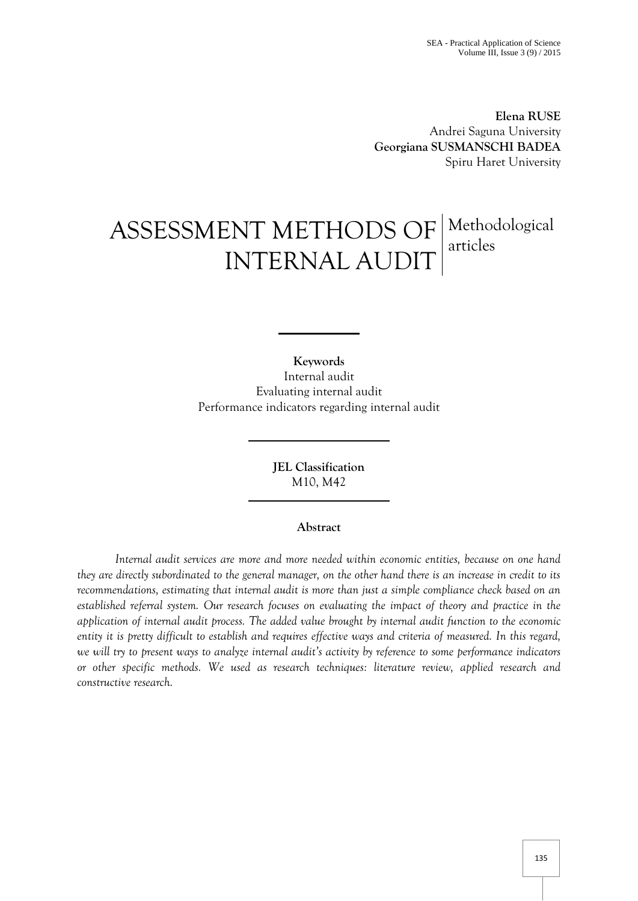**Elena RUSE** Andrei Saguna University **Georgiana SUSMANSCHI BADEA** Spiru Haret University

# ASSESSMENT METHODS OF Methodological INTERNAL AUDIT articles

**Keywords** Internal audit Evaluating internal audit Performance indicators regarding internal audit

> **JEL Classification**  M10, M42

## **Abstract**

*Internal audit services are more and more needed within economic entities, because on one hand they are directly subordinated to the general manager, on the other hand there is an increase in credit to its recommendations, estimating that internal audit is more than just a simple compliance check based on an established referral system. Our research focuses on evaluating the impact of theory and practice in the application of internal audit process. The added value brought by internal audit function to the economic entity it is pretty difficult to establish and requires effective ways and criteria of measured. In this regard, we will try to present ways to analyze internal audit's activity by reference to some performance indicators or other specific methods. We used as research techniques: literature review, applied research and constructive research.*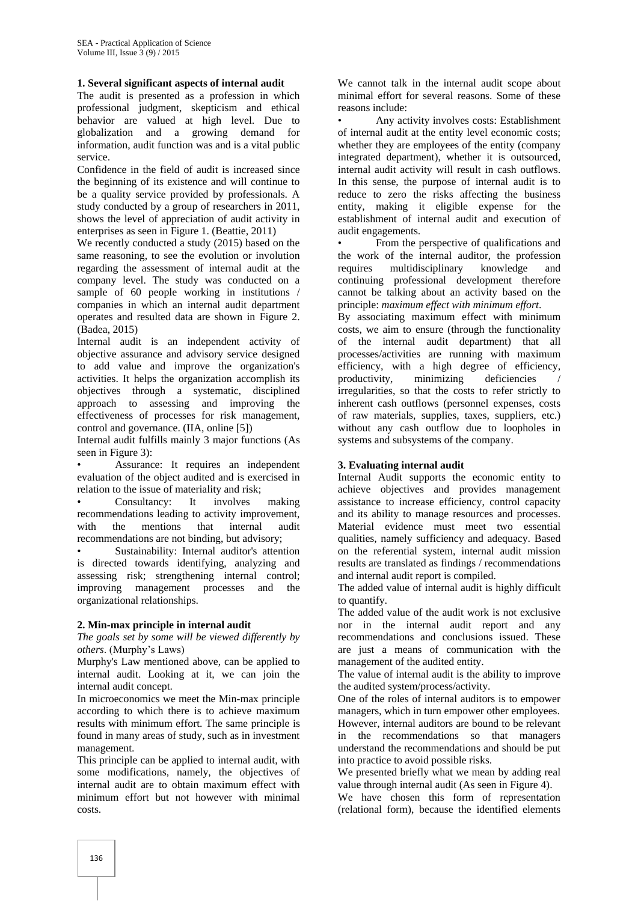## **1. Several significant aspects of internal audit**

The audit is presented as a profession in which professional judgment, skepticism and ethical behavior are valued at high level. Due to globalization and a growing demand for information, audit function was and is a vital public service.

Confidence in the field of audit is increased since the beginning of its existence and will continue to be a quality service provided by professionals. A study conducted by a group of researchers in 2011, shows the level of appreciation of audit activity in enterprises as seen in Figure 1. (Beattie, 2011)

We recently conducted a study (2015) based on the same reasoning, to see the evolution or involution regarding the assessment of internal audit at the company level. The study was conducted on a sample of 60 people working in institutions / companies in which an internal audit department operates and resulted data are shown in Figure 2. (Badea, 2015)

Internal audit is an independent activity of objective assurance and advisory service designed to add value and improve the organization's activities. It helps the organization accomplish its objectives through a systematic, disciplined approach to assessing and improving the effectiveness of processes for risk management, control and governance. (IIA, online [5])

Internal audit fulfills mainly 3 major functions (As seen in Figure 3):

• Assurance: It requires an independent evaluation of the object audited and is exercised in relation to the issue of materiality and risk;

• Consultancy: It involves making recommendations leading to activity improvement, with the mentions that internal audit recommendations are not binding, but advisory;

Sustainability: Internal auditor's attention is directed towards identifying, analyzing and assessing risk; strengthening internal control; improving management processes and the organizational relationships.

#### **2. Min-max principle in internal audit**

*The goals set by some will be viewed differently by others*. (Murphy's Laws)

Murphy's Law mentioned above, can be applied to internal audit. Looking at it, we can join the internal audit concept.

In microeconomics we meet the Min-max principle according to which there is to achieve maximum results with minimum effort. The same principle is found in many areas of study, such as in investment management.

This principle can be applied to internal audit, with some modifications, namely, the objectives of internal audit are to obtain maximum effect with minimum effort but not however with minimal costs.

We cannot talk in the internal audit scope about minimal effort for several reasons. Some of these reasons include:

• Any activity involves costs: Establishment of internal audit at the entity level economic costs; whether they are employees of the entity (company integrated department), whether it is outsourced, internal audit activity will result in cash outflows. In this sense, the purpose of internal audit is to reduce to zero the risks affecting the business entity, making it eligible expense for the establishment of internal audit and execution of audit engagements.

• From the perspective of qualifications and the work of the internal auditor, the profession requires multidisciplinary knowledge and continuing professional development therefore cannot be talking about an activity based on the principle: *maximum effect with minimum effort*.

By associating maximum effect with minimum costs, we aim to ensure (through the functionality of the internal audit department) that all processes/activities are running with maximum efficiency, with a high degree of efficiency, productivity, minimizing deficiencies / irregularities, so that the costs to refer strictly to inherent cash outflows (personnel expenses, costs of raw materials, supplies, taxes, suppliers, etc.) without any cash outflow due to loopholes in systems and subsystems of the company.

## **3. Evaluating internal audit**

Internal Audit supports the economic entity to achieve objectives and provides management assistance to increase efficiency, control capacity and its ability to manage resources and processes. Material evidence must meet two essential qualities, namely sufficiency and adequacy. Based on the referential system, internal audit mission results are translated as findings / recommendations and internal audit report is compiled.

The added value of internal audit is highly difficult to quantify.

The added value of the audit work is not exclusive nor in the internal audit report and any recommendations and conclusions issued. These are just a means of communication with the management of the audited entity.

The value of internal audit is the ability to improve the audited system/process/activity.

One of the roles of internal auditors is to empower managers, which in turn empower other employees. However, internal auditors are bound to be relevant in the recommendations so that managers understand the recommendations and should be put into practice to avoid possible risks.

We presented briefly what we mean by adding real value through internal audit (As seen in Figure 4).

We have chosen this form of representation (relational form), because the identified elements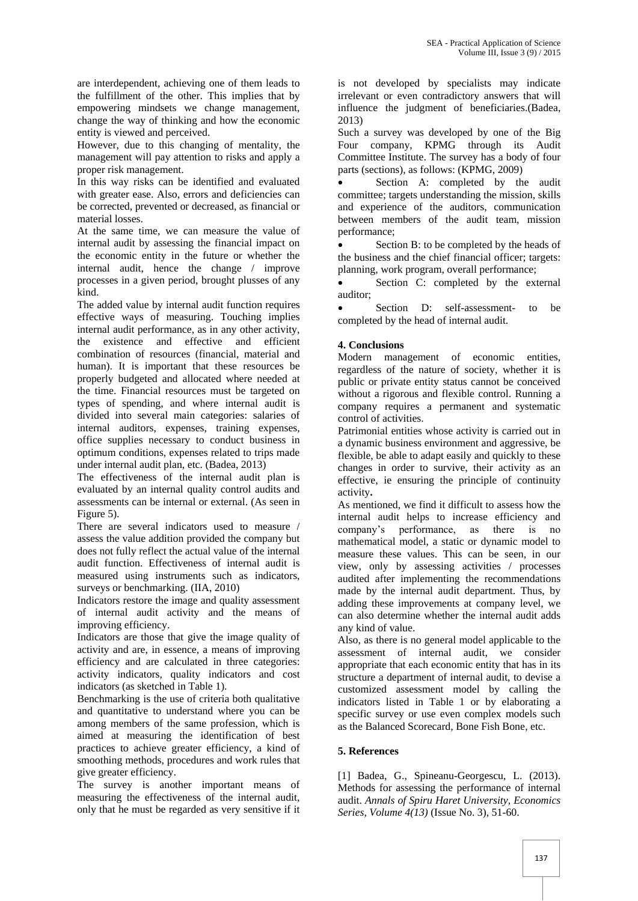are interdependent, achieving one of them leads to the fulfillment of the other. This implies that by empowering mindsets we change management, change the way of thinking and how the economic entity is viewed and perceived.

However, due to this changing of mentality, the management will pay attention to risks and apply a proper risk management.

In this way risks can be identified and evaluated with greater ease. Also, errors and deficiencies can be corrected, prevented or decreased, as financial or material losses.

At the same time, we can measure the value of internal audit by assessing the financial impact on the economic entity in the future or whether the internal audit, hence the change / improve processes in a given period, brought plusses of any kind.

The added value by internal audit function requires effective ways of measuring. Touching implies internal audit performance, as in any other activity, the existence and effective and efficient combination of resources (financial, material and human). It is important that these resources be properly budgeted and allocated where needed at the time. Financial resources must be targeted on types of spending, and where internal audit is divided into several main categories: salaries of internal auditors, expenses, training expenses, office supplies necessary to conduct business in optimum conditions, expenses related to trips made under internal audit plan, etc. (Badea, 2013)

The effectiveness of the internal audit plan is evaluated by an internal quality control audits and assessments can be internal or external. (As seen in Figure 5).

There are several indicators used to measure / assess the value addition provided the company but does not fully reflect the actual value of the internal audit function. Effectiveness of internal audit is measured using instruments such as indicators, surveys or benchmarking. (IIA, 2010)

Indicators restore the image and quality assessment of internal audit activity and the means of improving efficiency.

Indicators are those that give the image quality of activity and are, in essence, a means of improving efficiency and are calculated in three categories: activity indicators, quality indicators and cost indicators (as sketched in Table 1).

Benchmarking is the use of criteria both qualitative and quantitative to understand where you can be among members of the same profession, which is aimed at measuring the identification of best practices to achieve greater efficiency, a kind of smoothing methods, procedures and work rules that give greater efficiency.

The survey is another important means of measuring the effectiveness of the internal audit, only that he must be regarded as very sensitive if it

is not developed by specialists may indicate irrelevant or even contradictory answers that will influence the judgment of beneficiaries.(Badea, 2013)

Such a survey was developed by one of the Big Four company, KPMG through its Audit Committee Institute. The survey has a body of four parts (sections), as follows: (KPMG, 2009)

Section A: completed by the audit committee; targets understanding the mission, skills and experience of the auditors, communication between members of the audit team, mission performance;

 Section B: to be completed by the heads of the business and the chief financial officer; targets: planning, work program, overall performance;

• Section C: completed by the external auditor;

 Section D: self-assessment- to be completed by the head of internal audit.

# **4. Conclusions**

Modern management of economic entities, regardless of the nature of society, whether it is public or private entity status cannot be conceived without a rigorous and flexible control. Running a company requires a permanent and systematic control of activities.

Patrimonial entities whose activity is carried out in a dynamic business environment and aggressive, be flexible, be able to adapt easily and quickly to these changes in order to survive, their activity as an effective, ie ensuring the principle of continuity activity**.**

As mentioned, we find it difficult to assess how the internal audit helps to increase efficiency and company's performance, as there is no mathematical model, a static or dynamic model to measure these values. This can be seen, in our view, only by assessing activities / processes audited after implementing the recommendations made by the internal audit department. Thus, by adding these improvements at company level, we can also determine whether the internal audit adds any kind of value.

Also, as there is no general model applicable to the assessment of internal audit, we consider appropriate that each economic entity that has in its structure a department of internal audit, to devise a customized assessment model by calling the indicators listed in Table 1 or by elaborating a specific survey or use even complex models such as the Balanced Scorecard, Bone Fish Bone, etc.

# **5. References**

[1] Badea, G., Spineanu-Georgescu, L. (2013). Methods for assessing the performance of internal audit. *Annals of Spiru Haret University, Economics Series, Volume 4(13)* (Issue No. 3), 51-60.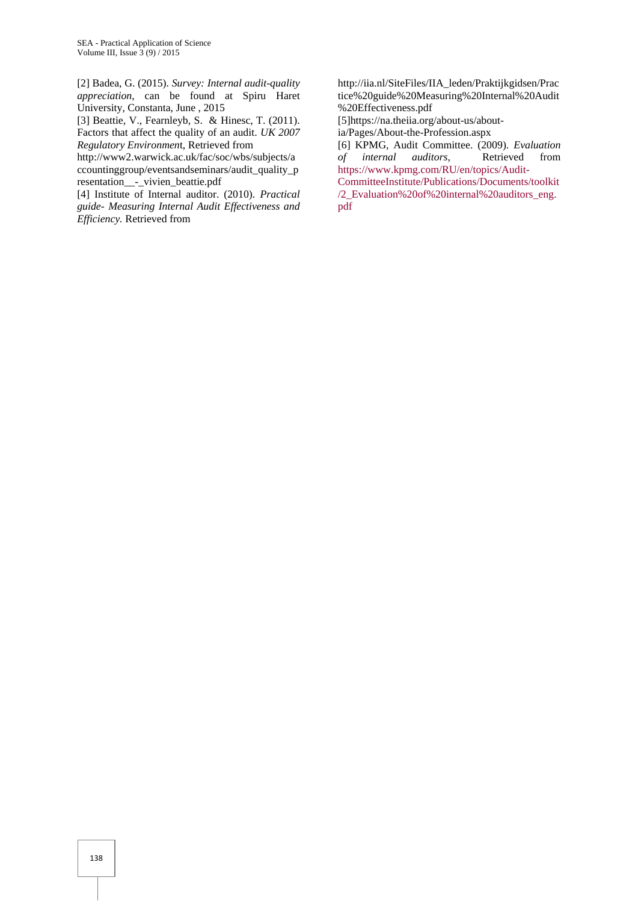[2] Badea, G. (2015). *Survey: Internal audit-quality appreciation*, can be found at Spiru Haret University, Constanta, June , 2015

[3] Beattie, V., Fearnleyb, S. & Hinesc, T. (2011). Factors that affect the quality of an audit. *UK 2007 Regulatory Environmen*t, Retrieved from

http://www2.warwick.ac.uk/fac/soc/wbs/subjects/a ccountinggroup/eventsandseminars/audit\_quality\_p resentation\_\_-\_vivien\_beattie.pdf

[4] Institute of Internal auditor. (2010). *Practical guide- Measuring Internal Audit Effectiveness and Efficiency.* Retrieved from

http://iia.nl/SiteFiles/IIA\_leden/Praktijkgidsen/Prac tice%20guide%20Measuring%20Internal%20Audit %20Effectiveness.pdf

[5]https://na.theiia.org/about-us/about-

ia/Pages/About-the-Profession.aspx

[6] KPMG, Audit Committee. (2009). *Evaluation of internal auditors*, Retrieved from [https://www.kpmg.com/RU/en/topics/Audit-](https://www.kpmg.com/RU/en/topics/Audit-CommitteeInstitute/Publications/Documents/toolkit/2_Evaluation%20of%20internal%20auditors_eng.pdf)

[CommitteeInstitute/Publications/Documents/toolkit](https://www.kpmg.com/RU/en/topics/Audit-CommitteeInstitute/Publications/Documents/toolkit/2_Evaluation%20of%20internal%20auditors_eng.pdf) [/2\\_Evaluation%20of%20internal%20auditors\\_eng.](https://www.kpmg.com/RU/en/topics/Audit-CommitteeInstitute/Publications/Documents/toolkit/2_Evaluation%20of%20internal%20auditors_eng.pdf) [pdf](https://www.kpmg.com/RU/en/topics/Audit-CommitteeInstitute/Publications/Documents/toolkit/2_Evaluation%20of%20internal%20auditors_eng.pdf)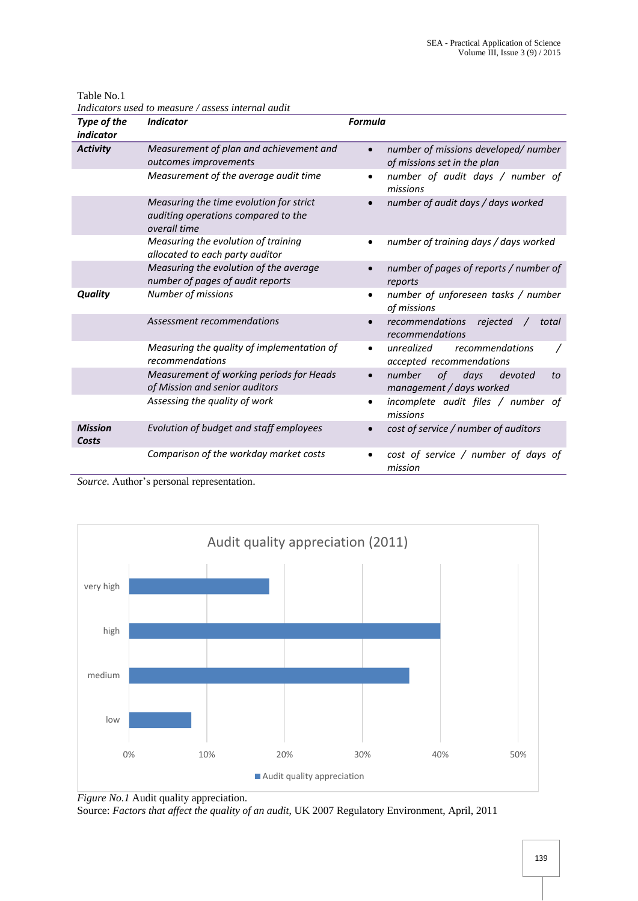| Indicators used to measure / assess internal audit |                                                                                                |                                                                                 |
|----------------------------------------------------|------------------------------------------------------------------------------------------------|---------------------------------------------------------------------------------|
| Type of the<br><i>indicator</i>                    | <b>Indicator</b>                                                                               | <b>Formula</b>                                                                  |
| <b>Activity</b>                                    | Measurement of plan and achievement and<br>outcomes improvements                               | number of missions developed/number<br>$\bullet$<br>of missions set in the plan |
|                                                    | Measurement of the average audit time                                                          | number of audit days / number of<br>$\bullet$<br>missions                       |
|                                                    | Measuring the time evolution for strict<br>auditing operations compared to the<br>overall time | number of audit days / days worked<br>$\bullet$                                 |
|                                                    | Measuring the evolution of training<br>allocated to each party auditor                         | number of training days / days worked<br>٠                                      |
|                                                    | Measuring the evolution of the average<br>number of pages of audit reports                     | number of pages of reports / number of<br>reports                               |
| <b>Quality</b>                                     | Number of missions                                                                             | number of unforeseen tasks / number<br>of missions                              |
|                                                    | Assessment recommendations                                                                     | recommendations<br>rejected<br>total<br>$\bullet$<br>recommendations            |
|                                                    | Measuring the quality of implementation of<br>recommendations                                  | unrealized<br>recommendations<br>$\bullet$<br>accepted recommendations          |
|                                                    | Measurement of working periods for Heads<br>of Mission and senior auditors                     | number<br>0f<br>days<br>devoted<br>to<br>management / days worked               |
|                                                    | Assessing the quality of work                                                                  | incomplete audit files / number of<br>missions                                  |
| <b>Mission</b><br>Costs                            | Evolution of budget and staff employees                                                        | cost of service / number of auditors                                            |
|                                                    | Comparison of the workday market costs                                                         | cost of service / number of days of<br>mission                                  |

Table No.1





*Figure No.1* Audit quality appreciation.

Source: *Factors that affect the quality of an audit*, UK 2007 Regulatory Environment, April, 2011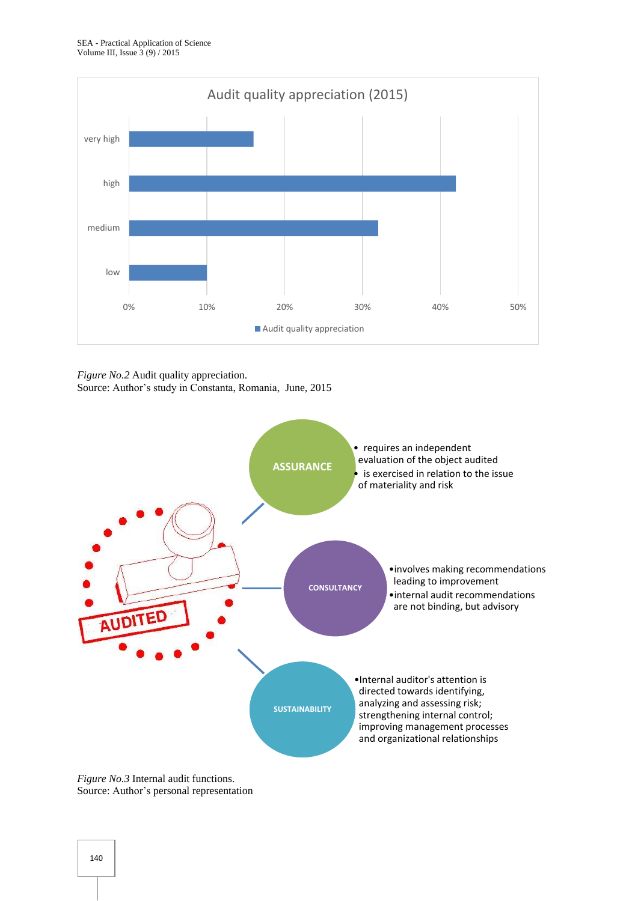

*Figure No.2* Audit quality appreciation.

Source: Author's study in Constanta, Romania, June, 2015



*Figure No.3* Internal audit functions. Source: Author's personal representation